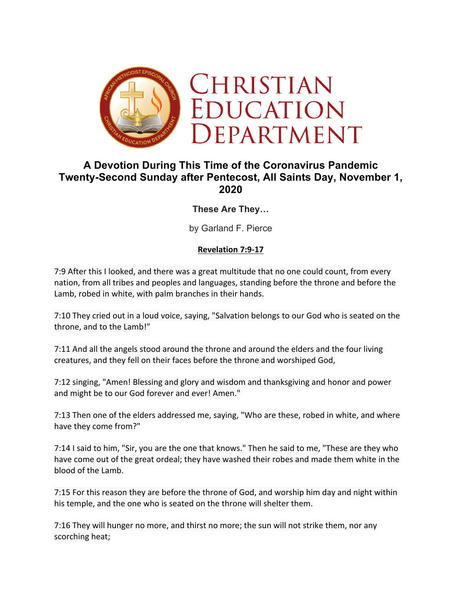

# **A Devotion During This Time of the Coronavirus Pandemic Twenty-Second Sunday after Pentecost, All Saints Day, November 1, 2020**

**These Are They…**

by Garland F. Pierce

#### **Revelation 7:9-17**

7:9 After this I looked, and there was a great multitude that no one could count, from every nation, from all tribes and peoples and languages, standing before the throne and before the Lamb, robed in white, with palm branches in their hands.

7:10 They cried out in a loud voice, saying, "Salvation belongs to our God who is seated on the throne, and to the Lamb!"

7:11 And all the angels stood around the throne and around the elders and the four living creatures, and they fell on their faces before the throne and worshiped God,

7:12 singing, "Amen! Blessing and glory and wisdom and thanksgiving and honor and power and might be to our God forever and ever! Amen."

7:13 Then one of the elders addressed me, saying, "Who are these, robed in white, and where have they come from?"

7:14 I said to him, "Sir, you are the one that knows." Then he said to me, "These are they who have come out of the great ordeal; they have washed their robes and made them white in the blood of the Lamb.

7:15 For this reason they are before the throne of God, and worship him day and night within his temple, and the one who is seated on the throne will shelter them.

7:16 They will hunger no more, and thirst no more; the sun will not strike them, nor any scorching heat;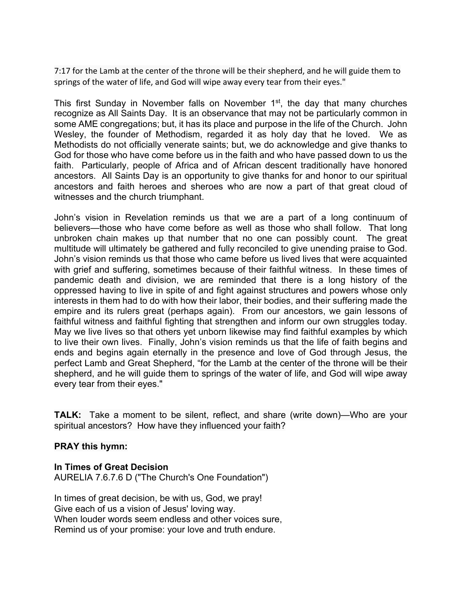7:17 for the Lamb at the center of the throne will be their shepherd, and he will guide them to springs of the water of life, and God will wipe away every tear from their eyes."

This first Sunday in November falls on November  $1<sup>st</sup>$ , the day that many churches recognize as All Saints Day. It is an observance that may not be particularly common in some AME congregations; but, it has its place and purpose in the life of the Church. John Wesley, the founder of Methodism, regarded it as holy day that he loved. We as Methodists do not officially venerate saints; but, we do acknowledge and give thanks to God for those who have come before us in the faith and who have passed down to us the faith. Particularly, people of Africa and of African descent traditionally have honored ancestors. All Saints Day is an opportunity to give thanks for and honor to our spiritual ancestors and faith heroes and sheroes who are now a part of that great cloud of witnesses and the church triumphant.

John's vision in Revelation reminds us that we are a part of a long continuum of believers—those who have come before as well as those who shall follow. That long unbroken chain makes up that number that no one can possibly count. The great multitude will ultimately be gathered and fully reconciled to give unending praise to God. John's vision reminds us that those who came before us lived lives that were acquainted with grief and suffering, sometimes because of their faithful witness. In these times of pandemic death and division, we are reminded that there is a long history of the oppressed having to live in spite of and fight against structures and powers whose only interests in them had to do with how their labor, their bodies, and their suffering made the empire and its rulers great (perhaps again). From our ancestors, we gain lessons of faithful witness and faithful fighting that strengthen and inform our own struggles today. May we live lives so that others yet unborn likewise may find faithful examples by which to live their own lives. Finally, John's vision reminds us that the life of faith begins and ends and begins again eternally in the presence and love of God through Jesus, the perfect Lamb and Great Shepherd, "for the Lamb at the center of the throne will be their shepherd, and he will guide them to springs of the water of life, and God will wipe away every tear from their eyes."

**TALK:** Take a moment to be silent, reflect, and share (write down)—Who are your spiritual ancestors? How have they influenced your faith?

#### **PRAY this hymn:**

**In Times of Great Decision** AURELIA 7.6.7.6 D ("The Church's One Foundation")

In times of great decision, be with us, God, we pray! Give each of us a vision of Jesus' loving way. When louder words seem endless and other voices sure, Remind us of your promise: your love and truth endure.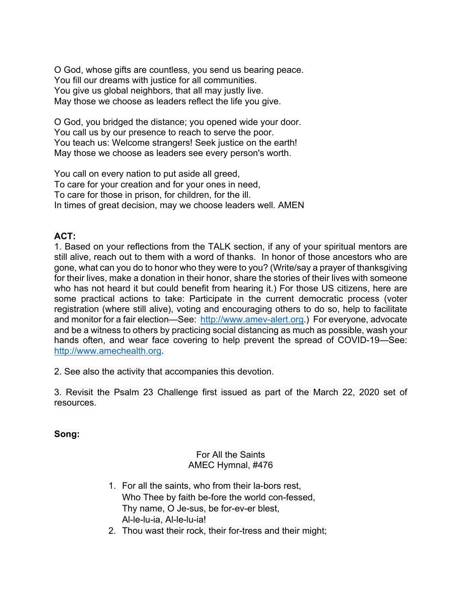O God, whose gifts are countless, you send us bearing peace. You fill our dreams with justice for all communities. You give us global neighbors, that all may justly live. May those we choose as leaders reflect the life you give.

O God, you bridged the distance; you opened wide your door. You call us by our presence to reach to serve the poor. You teach us: Welcome strangers! Seek justice on the earth! May those we choose as leaders see every person's worth.

You call on every nation to put aside all greed, To care for your creation and for your ones in need, To care for those in prison, for children, for the ill. In times of great decision, may we choose leaders well. AMEN

## **ACT:**

1. Based on your reflections from the TALK section, if any of your spiritual mentors are still alive, reach out to them with a word of thanks. In honor of those ancestors who are gone, what can you do to honor who they were to you? (Write/say a prayer of thanksgiving for their lives, make a donation in their honor, share the stories of their lives with someone who has not heard it but could benefit from hearing it.) For those US citizens, here are some practical actions to take: Participate in the current democratic process (voter registration (where still alive), voting and encouraging others to do so, help to facilitate and monitor for a fair election—See: http://www.amev-alert.org.) For everyone, advocate and be a witness to others by practicing social distancing as much as possible, wash your hands often, and wear face covering to help prevent the spread of COVID-19—See: http://www.amechealth.org.

2. See also the activity that accompanies this devotion.

3. Revisit the Psalm 23 Challenge first issued as part of the March 22, 2020 set of resources.

### **Song:**

### For All the Saints AMEC Hymnal, #476

- 1. For all the saints, who from their la-bors rest, Who Thee by faith be-fore the world con-fessed, Thy name, O Je-sus, be for-ev-er blest, Al-le-lu-ia, Al-le-lu-ia!
- 2. Thou wast their rock, their for-tress and their might;